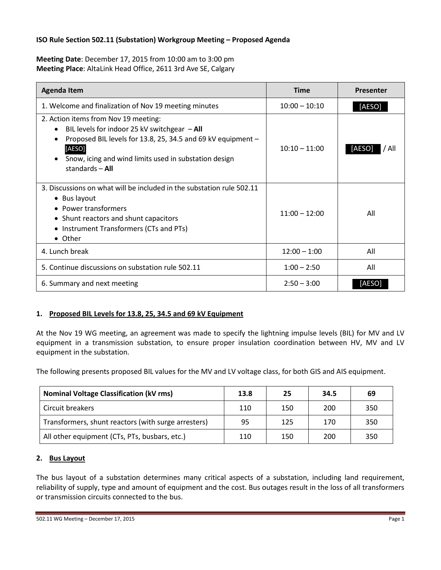### **ISO Rule Section 502.11 (Substation) Workgroup Meeting – Proposed Agenda**

**Meeting Date**: December 17, 2015 from 10:00 am to 3:00 pm **Meeting Place**: AltaLink Head Office, 2611 3rd Ave SE, Calgary

| <b>Agenda Item</b>                                                                                                                                                                                                                             | <b>Time</b>     | Presenter       |
|------------------------------------------------------------------------------------------------------------------------------------------------------------------------------------------------------------------------------------------------|-----------------|-----------------|
| 1. Welcome and finalization of Nov 19 meeting minutes                                                                                                                                                                                          | $10:00 - 10:10$ | [AESO]          |
| 2. Action items from Nov 19 meeting:<br>BIL levels for indoor 25 kV switchgear $-$ All<br>Proposed BIL levels for 13.8, 25, 34.5 and 69 kV equipment -<br>[AESO]<br>Snow, icing and wind limits used in substation design<br>standards $-$ All | $10:10 - 11:00$ | [AESO]<br>/ All |
| 3. Discussions on what will be included in the substation rule 502.11<br>• Bus layout<br>• Power transformers<br>• Shunt reactors and shunt capacitors<br>• Instrument Transformers (CTs and PTs)<br>• Other                                   | $11:00 - 12:00$ | All             |
| 4. Lunch break                                                                                                                                                                                                                                 | $12:00 - 1:00$  | All             |
| 5. Continue discussions on substation rule 502.11                                                                                                                                                                                              | $1:00 - 2:50$   | All             |
| 6. Summary and next meeting                                                                                                                                                                                                                    | $2:50 - 3:00$   | [AESO]          |

### **1. Proposed BIL Levels for 13.8, 25, 34.5 and 69 kV Equipment**

At the Nov 19 WG meeting, an agreement was made to specify the lightning impulse levels (BIL) for MV and LV equipment in a transmission substation, to ensure proper insulation coordination between HV, MV and LV equipment in the substation.

The following presents proposed BIL values for the MV and LV voltage class, for both GIS and AIS equipment.

| <b>Nominal Voltage Classification (kV rms)</b>      | 13.8 | 25  | 34.5 | 69  |
|-----------------------------------------------------|------|-----|------|-----|
| Circuit breakers                                    | 110  | 150 | 200  | 350 |
| Transformers, shunt reactors (with surge arresters) | 95   | 125 | 170  | 350 |
| All other equipment (CTs, PTs, busbars, etc.)       | 110  | 150 | 200  | 350 |

### **2. Bus Layout**

The bus layout of a substation determines many critical aspects of a substation, including land requirement, reliability of supply, type and amount of equipment and the cost. Bus outages result in the loss of all transformers or transmission circuits connected to the bus.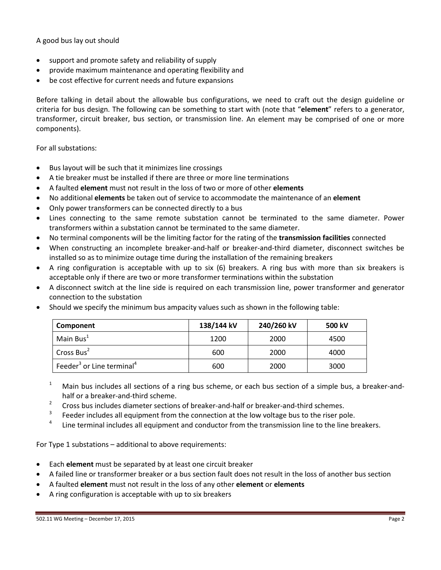A good bus lay out should

- support and promote safety and reliability of supply
- provide maximum maintenance and operating flexibility and
- be cost effective for current needs and future expansions

Before talking in detail about the allowable bus configurations, we need to craft out the design guideline or criteria for bus design. The following can be something to start with (note that "**element**" refers to a generator, transformer, circuit breaker, bus section, or transmission line. An element may be comprised of one or more components).

For all substations:

- Bus layout will be such that it minimizes line crossings
- A tie breaker must be installed if there are three or more line terminations
- A faulted **element** must not result in the loss of two or more of other **elements**
- No additional **elements** be taken out of service to accommodate the maintenance of an **element**
- Only power transformers can be connected directly to a bus
- Lines connecting to the same remote substation cannot be terminated to the same diameter. Power transformers within a substation cannot be terminated to the same diameter.
- No terminal components will be the limiting factor for the rating of the **transmission facilities** connected
- When constructing an incomplete breaker-and-half or breaker-and-third diameter, disconnect switches be installed so as to minimize outage time during the installation of the remaining breakers
- A ring configuration is acceptable with up to six (6) breakers. A ring bus with more than six breakers is acceptable only if there are two or more transformer terminations within the substation
- A disconnect switch at the line side is required on each transmission line, power transformer and generator connection to the substation

| Component                                         | 138/144 kV | 240/260 kV | 500 kV |
|---------------------------------------------------|------------|------------|--------|
| Main Bus <sup>1</sup>                             | 1200       | 2000       | 4500   |
| Cross Bus <sup>2</sup>                            | 600        | 2000       | 4000   |
| Feeder <sup>3</sup> or Line terminal <sup>4</sup> | 600        | 2000       | 3000   |

• Should we specify the minimum bus ampacity values such as shown in the following table:

- <sup>1</sup> Main bus includes all sections of a ring bus scheme, or each bus section of a simple bus, a breaker-andhalf or a breaker-and-third scheme.
- $2^2$  Cross bus includes diameter sections of breaker-and-half or breaker-and-third schemes.
- $3$  Feeder includes all equipment from the connection at the low voltage bus to the riser pole.
- Line terminal includes all equipment and conductor from the transmission line to the line breakers.

For Type 1 substations – additional to above requirements:

- Each **element** must be separated by at least one circuit breaker
- A failed line or transformer breaker or a bus section fault does not result in the loss of another bus section
- A faulted **element** must not result in the loss of any other **element** or **elements**
- A ring configuration is acceptable with up to six breakers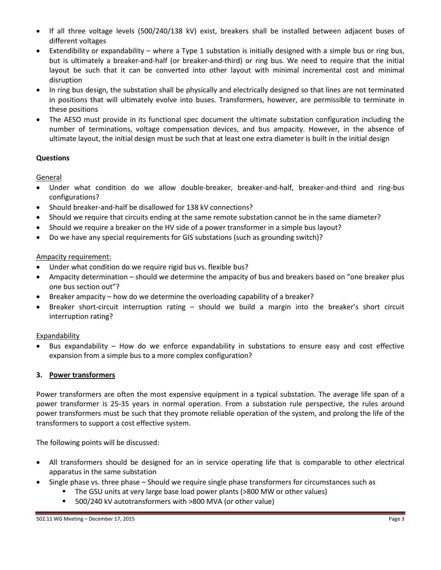- If all three voltage levels (500/240/138 kV) exist, breakers shall be installed between adjacent buses of different voltages
- Extendibility or expandability where a Type 1 substation is initially designed with a simple bus or ring bus, but is ultimately a breaker-and-half (or breaker-and-third) or ring bus. We need to require that the initial layout be such that it can be converted into other layout with minimal incremental cost and minimal disruption
- In ring bus design, the substation shall be physically and electrically designed so that lines are not terminated in positions that will ultimately evolve into buses. Transformers, however, are permissible to terminate in these positions
- The AESO must provide in its functional spec document the ultimate substation configuration including the number of terminations, voltage compensation devices, and bus ampacity. However, in the absence of ultimate layout, the initial design must be such that at least one extra diameter is built in the initial design

# **Questions**

General

- Under what condition do we allow double-breaker, breaker-and-half, breaker-and-third and ring-bus configurations?
- Should breaker-and-half be disallowed for 138 kV connections?
- Should we require that circuits ending at the same remote substation cannot be in the same diameter?
- Should we require a breaker on the HV side of a power transformer in a simple bus layout?
- Do we have any special requirements for GIS substations (such as grounding switch)?

## Ampacity requirement:

- Under what condition do we require rigid bus vs. flexible bus?
- Ampacity determination should we determine the ampacity of bus and breakers based on "one breaker plus one bus section out"?
- Breaker ampacity how do we determine the overloading capability of a breaker?
- Breaker short-circuit interruption rating should we build a margin into the breaker's short circuit interruption rating?

## Expandability

• Bus expandability – How do we enforce expandability in substations to ensure easy and cost effective expansion from a simple bus to a more complex configuration?

## **3. Power transformers**

Power transformers are often the most expensive equipment in a typical substation. The average life span of a power transformer is 25-35 years in normal operation. From a substation rule perspective, the rules around power transformers must be such that they promote reliable operation of the system, and prolong the life of the transformers to support a cost effective system.

The following points will be discussed:

- All transformers should be designed for an in service operating life that is comparable to other electrical apparatus in the same substation
- Single phase vs. three phase Should we require single phase transformers for circumstances such as
	- The GSU units at very large base load power plants (>800 MW or other values)
	- 500/240 kV autotransformers with >800 MVA (or other value)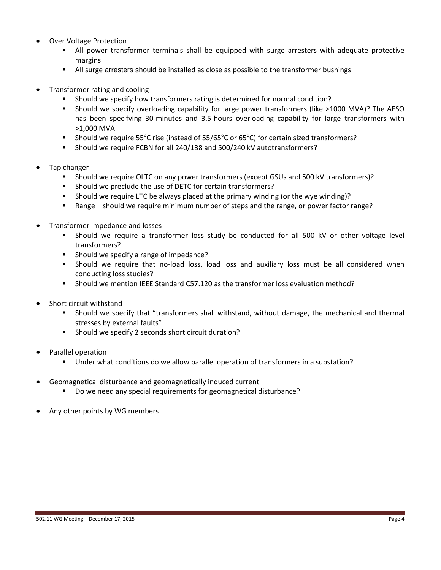- Over Voltage Protection
	- All power transformer terminals shall be equipped with surge arresters with adequate protective margins
	- All surge arresters should be installed as close as possible to the transformer bushings
- Transformer rating and cooling
	- Should we specify how transformers rating is determined for normal condition?
	- Should we specify overloading capability for large power transformers (like >1000 MVA)? The AESO has been specifying 30-minutes and 3.5-hours overloading capability for large transformers with >1,000 MVA
	- **Should we require 55°C rise (instead of 55/65°C or 65°C) for certain sized transformers?**
	- Should we require FCBN for all 240/138 and 500/240 kV autotransformers?
- Tap changer
	- Should we require OLTC on any power transformers (except GSUs and 500 kV transformers)?
	- Should we preclude the use of DETC for certain transformers?
	- Should we require LTC be always placed at the primary winding (or the wye winding)?
	- Range should we require minimum number of steps and the range, or power factor range?
- Transformer impedance and losses
	- Should we require a transformer loss study be conducted for all 500 kV or other voltage level transformers?
	- **Should we specify a range of impedance?**
	- Should we require that no-load loss, load loss and auxiliary loss must be all considered when conducting loss studies?
	- Should we mention IEEE Standard C57.120 as the transformer loss evaluation method?
- Short circuit withstand
	- Should we specify that "transformers shall withstand, without damage, the mechanical and thermal stresses by external faults"
	- Should we specify 2 seconds short circuit duration?
- Parallel operation
	- Under what conditions do we allow parallel operation of transformers in a substation?
- Geomagnetical disturbance and geomagnetically induced current
	- Do we need any special requirements for geomagnetical disturbance?
- Any other points by WG members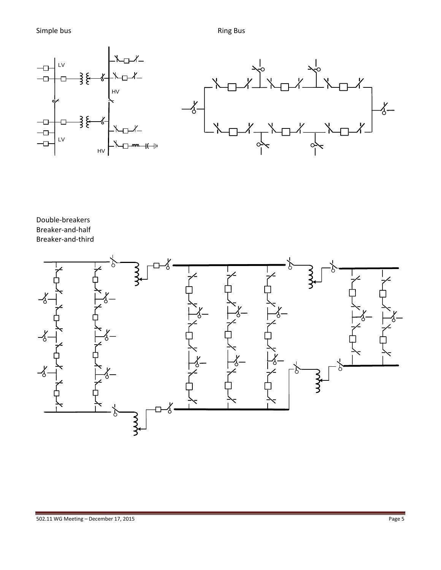

Double-breakers Breaker-and-half Breaker-and-third

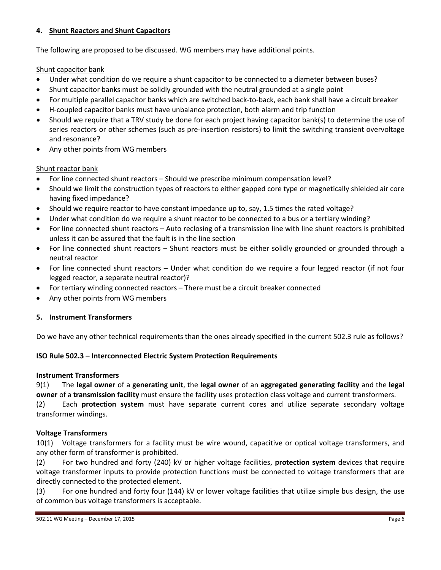### **4. Shunt Reactors and Shunt Capacitors**

The following are proposed to be discussed. WG members may have additional points.

### Shunt capacitor bank

- Under what condition do we require a shunt capacitor to be connected to a diameter between buses?
- Shunt capacitor banks must be solidly grounded with the neutral grounded at a single point
- For multiple parallel capacitor banks which are switched back-to-back, each bank shall have a circuit breaker
- H-coupled capacitor banks must have unbalance protection, both alarm and trip function
- Should we require that a TRV study be done for each project having capacitor bank(s) to determine the use of series reactors or other schemes (such as pre-insertion resistors) to limit the switching transient overvoltage and resonance?
- Any other points from WG members

### Shunt reactor bank

- For line connected shunt reactors Should we prescribe minimum compensation level?
- Should we limit the construction types of reactors to either gapped core type or magnetically shielded air core having fixed impedance?
- Should we require reactor to have constant impedance up to, say, 1.5 times the rated voltage?
- Under what condition do we require a shunt reactor to be connected to a bus or a tertiary winding?
- For line connected shunt reactors Auto reclosing of a transmission line with line shunt reactors is prohibited unless it can be assured that the fault is in the line section
- For line connected shunt reactors Shunt reactors must be either solidly grounded or grounded through a neutral reactor
- For line connected shunt reactors Under what condition do we require a four legged reactor (if not four legged reactor, a separate neutral reactor)?
- For tertiary winding connected reactors There must be a circuit breaker connected
- Any other points from WG members

### **5. Instrument Transformers**

Do we have any other technical requirements than the ones already specified in the current 502.3 rule as follows?

## **ISO Rule 502.3 – Interconnected Electric System Protection Requirements**

### **Instrument Transformers**

9(1) The **legal owner** of a **generating unit**, the **legal owner** of an **aggregated generating facility** and the **legal owner** of a **transmission facility** must ensure the facility uses protection class voltage and current transformers.

(2) Each **protection system** must have separate current cores and utilize separate secondary voltage transformer windings.

## **Voltage Transformers**

10(1) Voltage transformers for a facility must be wire wound, capacitive or optical voltage transformers, and any other form of transformer is prohibited.

(2) For two hundred and forty (240) kV or higher voltage facilities, **protection system** devices that require voltage transformer inputs to provide protection functions must be connected to voltage transformers that are directly connected to the protected element.

(3) For one hundred and forty four (144) kV or lower voltage facilities that utilize simple bus design, the use of common bus voltage transformers is acceptable.